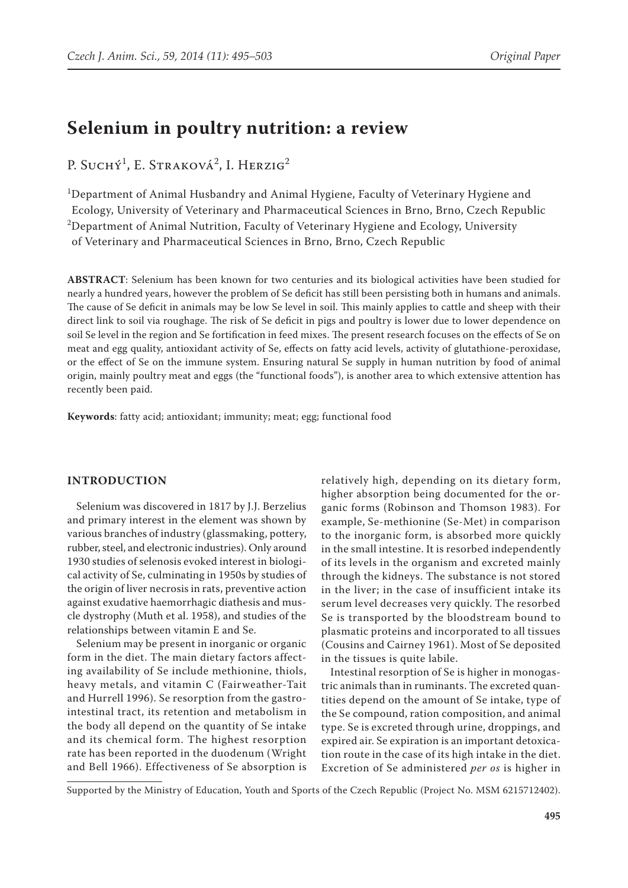# **Selenium in poultry nutrition: a review**

P. Suchý<sup>1</sup>, E. Straková<sup>2</sup>, I. Herzig<sup>2</sup>

1 Department of Animal Husbandry and Animal Hygiene, Faculty of Veterinary Hygiene and Ecology, University of Veterinary and Pharmaceutical Sciences in Brno, Brno, Czech Republic  $^{2}$ Department of Animal Nutrition, Faculty of Veterinary Hygiene and Ecology, University of Veterinary and Pharmaceutical Sciences in Brno, Brno, Czech Republic

**ABSTRACT**: Selenium has been known for two centuries and its biological activities have been studied for nearly a hundred years, however the problem of Se deficit has still been persisting both in humans and animals. The cause of Se deficit in animals may be low Se level in soil. This mainly applies to cattle and sheep with their direct link to soil via roughage. The risk of Se deficit in pigs and poultry is lower due to lower dependence on soil Se level in the region and Se fortification in feed mixes. The present research focuses on the effects of Se on meat and egg quality, antioxidant activity of Se, effects on fatty acid levels, activity of glutathione-peroxidase, or the effect of Se on the immune system. Ensuring natural Se supply in human nutrition by food of animal origin, mainly poultry meat and eggs (the "functional foods"), is another area to which extensive attention has recently been paid.

**Keywords**: fatty acid; antioxidant; immunity; meat; egg; functional food

## **INTRODUCTION**

Selenium was discovered in 1817 by J.J. Berzelius and primary interest in the element was shown by various branches of industry (glassmaking, pottery, rubber, steel, and electronic industries). Only around 1930 studies of selenosis evoked interest in biological activity of Se, culminating in 1950s by studies of the origin of liver necrosis in rats, preventive action against exudative haemorrhagic diathesis and muscle dystrophy (Muth et al. 1958), and studies of the relationships between vitamin E and Se.

Selenium may be present in inorganic or organic form in the diet. The main dietary factors affecting availability of Se include methionine, thiols, heavy metals, and vitamin C (Fairweather-Tait and Hurrell 1996). Se resorption from the gastrointestinal tract, its retention and metabolism in the body all depend on the quantity of Se intake and its chemical form. The highest resorption rate has been reported in the duodenum (Wright and Bell 1966). Effectiveness of Se absorption is

relatively high, depending on its dietary form, higher absorption being documented for the organic forms (Robinson and Thomson 1983). For example, Se-methionine (Se-Met) in comparison to the inorganic form, is absorbed more quickly in the small intestine. It is resorbed independently of its levels in the organism and excreted mainly through the kidneys. The substance is not stored in the liver; in the case of insufficient intake its serum level decreases very quickly. The resorbed Se is transported by the bloodstream bound to plasmatic proteins and incorporated to all tissues (Cousins and Cairney 1961). Most of Se deposited in the tissues is quite labile.

Intestinal resorption of Se is higher in monogastric animals than in ruminants. The excreted quantities depend on the amount of Se intake, type of the Se compound, ration composition, and animal type. Se is excreted through urine, droppings, and expired air. Se expiration is an important detoxication route in the case of its high intake in the diet. Excretion of Se administered *per os* is higher in

Supported by the Ministry of Education, Youth and Sports of the Czech Republic (Project No. MSM 6215712402).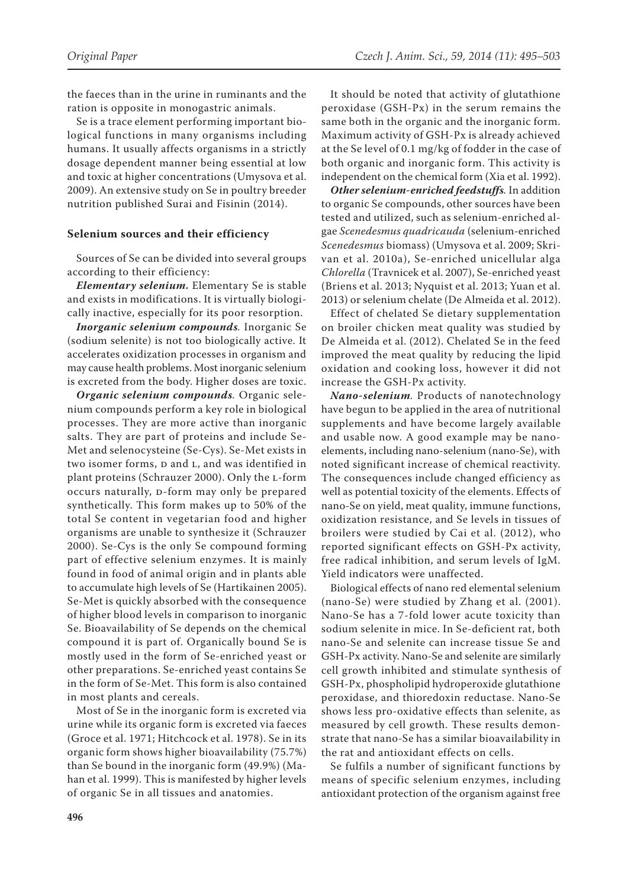the faeces than in the urine in ruminants and the ration is opposite in monogastric animals.

Se is a trace element performing important biological functions in many organisms including humans. It usually affects organisms in a strictly dosage dependent manner being essential at low and toxic at higher concentrations (Umysova et al. 2009). An extensive study on Se in poultry breeder nutrition published Surai and Fisinin (2014).

### **Selenium sources and their efficiency**

Sources of Se can be divided into several groups according to their efficiency:

*Elementary selenium.* Elementary Se is stable and exists in modifications. It is virtually biologically inactive, especially for its poor resorption.

*Inorganic selenium compounds.* Inorganic Se (sodium selenite) is not too biologically active. It accelerates oxidization processes in organism and may cause health problems. Most inorganic selenium is excreted from the body. Higher doses are toxic.

*Organic selenium compounds.* Organic selenium compounds perform a key role in biological processes. They are more active than inorganic salts. They are part of proteins and include Se-Met and selenocysteine (Se-Cys). Se-Met exists in two isomer forms,  $D$  and  $L$ , and was identified in plant proteins (Schrauzer 2000). Only the l-form occurs naturally, p-form may only be prepared synthetically. This form makes up to 50% of the total Se content in vegetarian food and higher organisms are unable to synthesize it (Schrauzer 2000). Se-Cys is the only Se compound forming part of effective selenium enzymes. It is mainly found in food of animal origin and in plants able to accumulate high levels of Se (Hartikainen 2005). Se-Met is quickly absorbed with the consequence of higher blood levels in comparison to inorganic Se. Bioavailability of Se depends on the chemical compound it is part of. Organically bound Se is mostly used in the form of Se-enriched yeast or other preparations. Se-enriched yeast contains Se in the form of Se-Met. This form is also contained in most plants and cereals.

Most of Se in the inorganic form is excreted via urine while its organic form is excreted via faeces (Groce et al. 1971; Hitchcock et al. 1978). Se in its organic form shows higher bioavailability (75.7%) than Se bound in the inorganic form (49.9%) (Mahan et al. 1999). This is manifested by higher levels of organic Se in all tissues and anatomies.

It should be noted that activity of glutathione peroxidase (GSH-Px) in the serum remains the same both in the organic and the inorganic form. Maximum activity of GSH-Px is already achieved at the Se level of 0.1 mg/kg of fodder in the case of both organic and inorganic form. This activity is independent on the chemical form (Xia et al. 1992).

*Other selenium-enriched feedstuffs.* In addition to organic Se compounds, other sources have been tested and utilized, such as selenium-enriched algae *Scenedesmus quadricauda* (selenium-enriched *Scenedesmus* biomass) (Umysova et al. 2009; Skrivan et al. 2010a), Se-enriched unicellular alga *Chlorella* (Travnicek et al. 2007), Se-enriched yeast (Briens et al. 2013; Nyquist et al. 2013; Yuan et al. 2013) or selenium chelate (De Almeida et al. 2012).

Effect of chelated Se dietary supplementation on broiler chicken meat quality was studied by De Almeida et al. (2012). Chelated Se in the feed improved the meat quality by reducing the lipid oxidation and cooking loss, however it did not increase the GSH-Px activity.

*Nano-selenium.* Products of nanotechnology have begun to be applied in the area of nutritional supplements and have become largely available and usable now. A good example may be nanoelements, including nano-selenium (nano-Se), with noted significant increase of chemical reactivity. The consequences include changed efficiency as well as potential toxicity of the elements. Effects of nano-Se on yield, meat quality, immune functions, oxidization resistance, and Se levels in tissues of broilers were studied by Cai et al. (2012), who reported significant effects on GSH-Px activity, free radical inhibition, and serum levels of IgM. Yield indicators were unaffected.

Biological effects of nano red elemental selenium (nano-Se) were studied by Zhang et al. (2001). Nano-Se has a 7-fold lower acute toxicity than sodium selenite in mice. In Se-deficient rat, both nano-Se and selenite can increase tissue Se and GSH-Px activity. Nano-Se and selenite are similarly cell growth inhibited and stimulate synthesis of GSH-Px, phospholipid hydroperoxide glutathione peroxidase, and thioredoxin reductase. Nano-Se shows less pro-oxidative effects than selenite, as measured by cell growth. These results demonstrate that nano-Se has a similar bioavailability in the rat and antioxidant effects on cells.

Se fulfils a number of significant functions by means of specific selenium enzymes, including antioxidant protection of the organism against free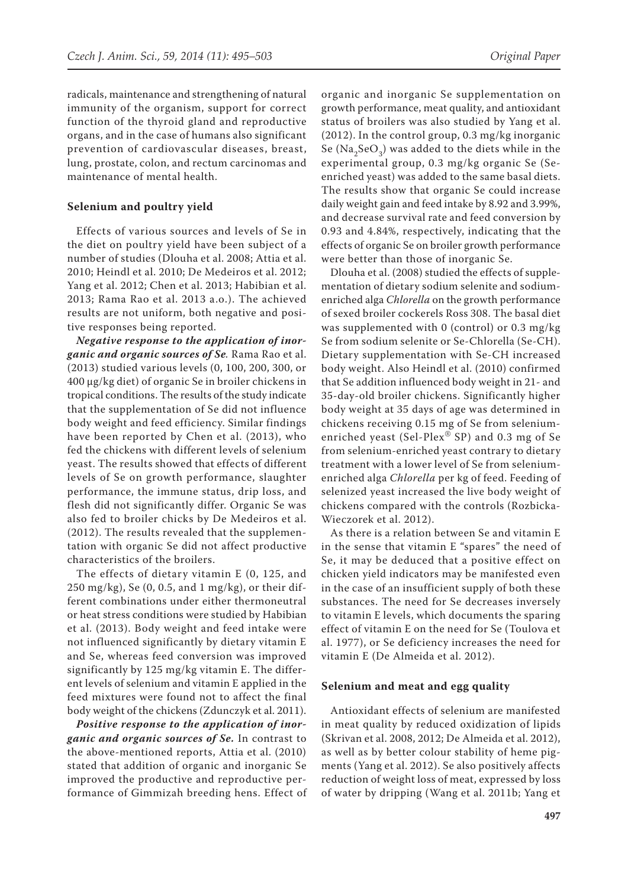radicals, maintenance and strengthening of natural immunity of the organism, support for correct function of the thyroid gland and reproductive organs, and in the case of humans also significant prevention of cardiovascular diseases, breast, lung, prostate, colon, and rectum carcinomas and maintenance of mental health.

### **Selenium and poultry yield**

Effects of various sources and levels of Se in the diet on poultry yield have been subject of a number of studies (Dlouha et al. 2008; Attia et al. 2010; Heindl et al. 2010; De Medeiros et al. 2012; Yang et al. 2012; Chen et al. 2013; Habibian et al. 2013; Rama Rao et al. 2013 a.o.). The achieved results are not uniform, both negative and positive responses being reported.

*Negative response to the application of inorganic and organic sources of Se.* Rama Rao et al. (2013) studied various levels (0, 100, 200, 300, or 400 μg/kg diet) of organic Se in broiler chickens in tropical conditions. The results of the study indicate that the supplementation of Se did not influence body weight and feed efficiency. Similar findings have been reported by Chen et al. (2013), who fed the chickens with different levels of selenium yeast. The results showed that effects of different levels of Se on growth performance, slaughter performance, the immune status, drip loss, and flesh did not significantly differ. Organic Se was also fed to broiler chicks by De Medeiros et al. (2012). The results revealed that the supplementation with organic Se did not affect productive characteristics of the broilers.

The effects of dietary vitamin E (0, 125, and  $250 \text{ mg/kg}$ , Se (0, 0.5, and 1 mg/kg), or their different combinations under either thermoneutral or heat stress conditions were studied by Habibian et al. (2013). Body weight and feed intake were not influenced significantly by dietary vitamin E and Se, whereas feed conversion was improved significantly by 125 mg/kg vitamin E. The different levels of selenium and vitamin E applied in the feed mixtures were found not to affect the final body weight of the chickens (Zdunczyk et al. 2011).

*Positive response to the application of inorganic and organic sources of Se.* In contrast to the above-mentioned reports, Attia et al. (2010) stated that addition of organic and inorganic Se improved the productive and reproductive performance of Gimmizah breeding hens. Effect of

organic and inorganic Se supplementation on growth performance, meat quality, and antioxidant status of broilers was also studied by Yang et al. (2012). In the control group, 0.3 mg/kg inorganic Se (Na<sub>2</sub>SeO<sub>3</sub>) was added to the diets while in the experimental group, 0.3 mg/kg organic Se (Seenriched yeast) was added to the same basal diets. The results show that organic Se could increase daily weight gain and feed intake by 8.92 and 3.99%, and decrease survival rate and feed conversion by 0.93 and 4.84%, respectively, indicating that the effects of organic Se on broiler growth performance were better than those of inorganic Se.

Dlouha et al. (2008) studied the effects of supplementation of dietary sodium selenite and sodiumenriched alga *Chlorella* on the growth performance of sexed broiler cockerels Ross 308. The basal diet was supplemented with 0 (control) or 0.3 mg/kg Se from sodium selenite or Se-Chlorella (Se-CH). Dietary supplementation with Se-CH increased body weight. Also Heindl et al. (2010) confirmed that Se addition influenced body weight in 21- and 35-day-old broiler chickens. Significantly higher body weight at 35 days of age was determined in chickens receiving 0.15 mg of Se from seleniumenriched yeast (Sel-Plex® SP) and 0.3 mg of Se from selenium-enriched yeast contrary to dietary treatment with a lower level of Se from seleniumenriched alga *Chlorella* per kg of feed. Feeding of selenized yeast increased the live body weight of chickens compared with the controls (Rozbicka-Wieczorek et al. 2012).

As there is a relation between Se and vitamin E in the sense that vitamin E "spares" the need of Se, it may be deduced that a positive effect on chicken yield indicators may be manifested even in the case of an insufficient supply of both these substances. The need for Se decreases inversely to vitamin E levels, which documents the sparing effect of vitamin E on the need for Se (Toulova et al. 1977), or Se deficiency increases the need for vitamin E (De Almeida et al. 2012).

## **Selenium and meat and egg quality**

Antioxidant effects of selenium are manifested in meat quality by reduced oxidization of lipids (Skrivan et al. 2008, 2012; De Almeida et al. 2012), as well as by better colour stability of heme pigments (Yang et al. 2012). Se also positively affects reduction of weight loss of meat, expressed by loss of water by dripping (Wang et al. 2011b; Yang et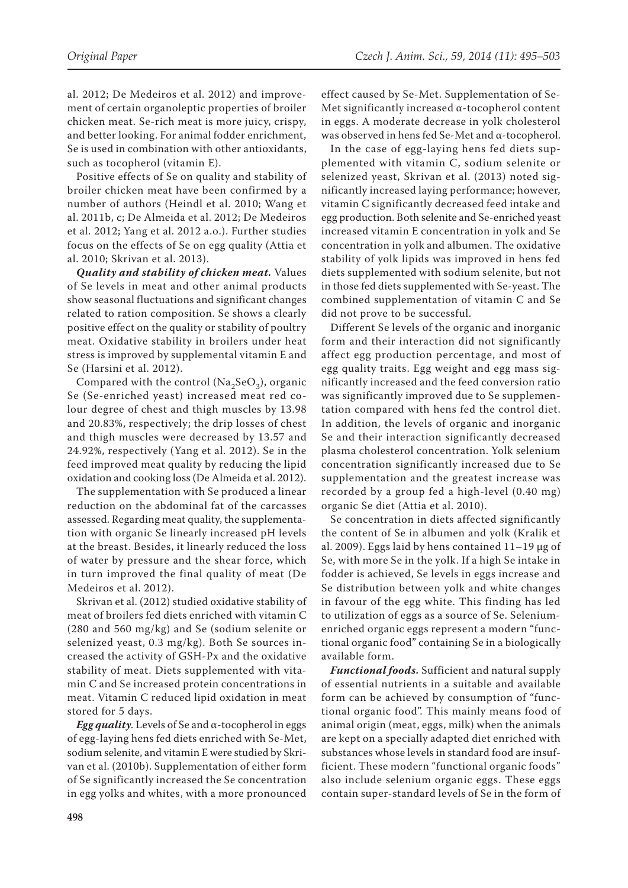al. 2012; De Medeiros et al. 2012) and improvement of certain organoleptic properties of broiler chicken meat. Se-rich meat is more juicy, crispy, and better looking. For animal fodder enrichment, Se is used in combination with other antioxidants, such as tocopherol (vitamin E).

Positive effects of Se on quality and stability of broiler chicken meat have been confirmed by a number of authors (Heindl et al. 2010; Wang et al. 2011b, c; De Almeida et al. 2012; De Medeiros et al. 2012; Yang et al. 2012 a.o.). Further studies focus on the effects of Se on egg quality (Attia et al. 2010; Skrivan et al. 2013).

*Quality and stability of chicken meat.* Values of Se levels in meat and other animal products show seasonal fluctuations and significant changes related to ration composition. Se shows a clearly positive effect on the quality or stability of poultry meat. Oxidative stability in broilers under heat stress is improved by supplemental vitamin E and Se (Harsini et al. 2012).

Compared with the control (Na<sub>2</sub>SeO<sub>3</sub>), organic Se (Se-enriched yeast) increased meat red colour degree of chest and thigh muscles by 13.98 and 20.83%, respectively; the drip losses of chest and thigh muscles were decreased by 13.57 and 24.92%, respectively (Yang et al. 2012). Se in the feed improved meat quality by reducing the lipid oxidation and cooking loss (De Almeida et al. 2012).

The supplementation with Se produced a linear reduction on the abdominal fat of the carcasses assessed. Regarding meat quality, the supplementation with organic Se linearly increased pH levels at the breast. Besides, it linearly reduced the loss of water by pressure and the shear force, which in turn improved the final quality of meat (De Medeiros et al. 2012).

Skrivan et al. (2012) studied oxidative stability of meat of broilers fed diets enriched with vitamin C (280 and 560 mg/kg) and Se (sodium selenite or selenized yeast, 0.3 mg/kg). Both Se sources increased the activity of GSH-Px and the oxidative stability of meat. Diets supplemented with vitamin C and Se increased protein concentrations in meat. Vitamin C reduced lipid oxidation in meat stored for 5 days.

*Egg quality.* Levels of Se and α-tocopherol in eggs of egg-laying hens fed diets enriched with Se-Met, sodium selenite, and vitamin E were studied by Skrivan et al. (2010b). Supplementation of either form of Se significantly increased the Se concentration in egg yolks and whites, with a more pronounced

effect caused by Se-Met. Supplementation of Se-Met significantly increased α-tocopherol content in eggs. A moderate decrease in yolk cholesterol was observed in hens fed Se-Met and α-tocopherol.

In the case of egg-laying hens fed diets supplemented with vitamin C, sodium selenite or selenized yeast, Skrivan et al. (2013) noted significantly increased laying performance; however, vitamin C significantly decreased feed intake and egg production. Both selenite and Se-enriched yeast increased vitamin E concentration in yolk and Se concentration in yolk and albumen. The oxidative stability of yolk lipids was improved in hens fed diets supplemented with sodium selenite, but not in those fed diets supplemented with Se-yeast. The combined supplementation of vitamin C and Se did not prove to be successful.

Different Se levels of the organic and inorganic form and their interaction did not significantly affect egg production percentage, and most of egg quality traits. Egg weight and egg mass significantly increased and the feed conversion ratio was significantly improved due to Se supplementation compared with hens fed the control diet. In addition, the levels of organic and inorganic Se and their interaction significantly decreased plasma cholesterol concentration. Yolk selenium concentration significantly increased due to Se supplementation and the greatest increase was recorded by a group fed a high-level (0.40 mg) organic Se diet (Attia et al. 2010).

Se concentration in diets affected significantly the content of Se in albumen and yolk (Kralik et al. 2009). Eggs laid by hens contained  $11-19 \mu$ g of Se, with more Se in the yolk. If a high Se intake in fodder is achieved, Se levels in eggs increase and Se distribution between yolk and white changes in favour of the egg white. This finding has led to utilization of eggs as a source of Se. Seleniumenriched organic eggs represent a modern "functional organic food" containing Se in a biologically available form.

*Functional foods.* Sufficient and natural supply of essential nutrients in a suitable and available form can be achieved by consumption of "functional organic food". This mainly means food of animal origin (meat, eggs, milk) when the animals are kept on a specially adapted diet enriched with substances whose levels in standard food are insufficient. These modern "functional organic foods" also include selenium organic eggs. These eggs contain super-standard levels of Se in the form of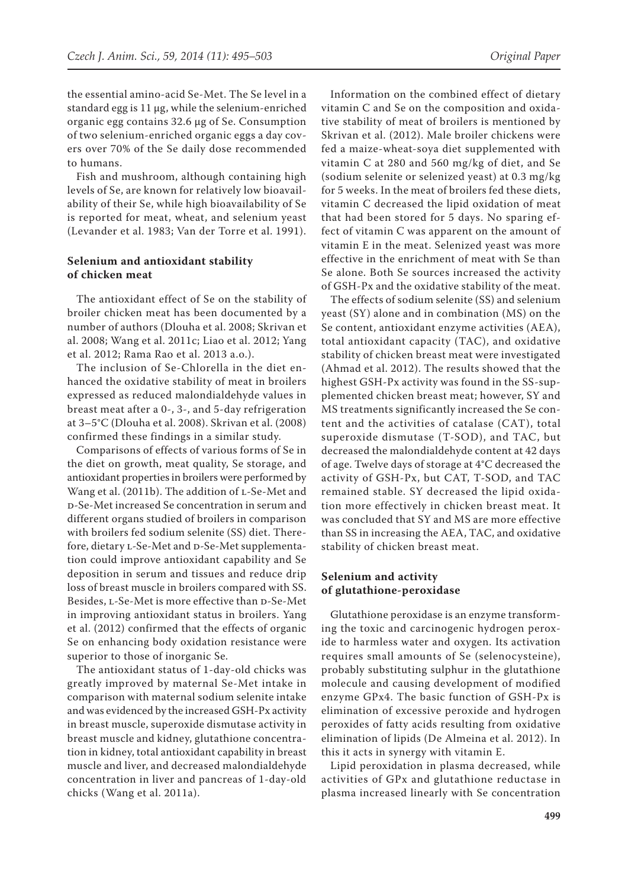the essential amino-acid Se-Met. The Se level in a standard egg is 11 µg, while the selenium-enriched organic egg contains 32.6 µg of Se. Consumption of two selenium-enriched organic eggs a day covers over 70% of the Se daily dose recommended to humans.

Fish and mushroom, although containing high levels of Se, are known for relatively low bioavailability of their Se, while high bioavailability of Se is reported for meat, wheat, and selenium yeast (Levander et al. 1983; Van der Torre et al. 1991).

# **Selenium and antioxidant stability of chicken meat**

The antioxidant effect of Se on the stability of broiler chicken meat has been documented by a number of authors (Dlouha et al. 2008; Skrivan et al. 2008; Wang et al. 2011c; Liao et al. 2012; Yang et al. 2012; Rama Rao et al. 2013 a.o.).

The inclusion of Se-Chlorella in the diet enhanced the oxidative stability of meat in broilers expressed as reduced malondialdehyde values in breast meat after a 0-, 3-, and 5-day refrigeration at 3–5°C (Dlouha et al. 2008). Skrivan et al. (2008) confirmed these findings in a similar study.

Comparisons of effects of various forms of Se in the diet on growth, meat quality, Se storage, and antioxidant properties in broilers were performed by Wang et al. (2011b). The addition of L-Se-Met and d-Se-Met increased Se concentration in serum and different organs studied of broilers in comparison with broilers fed sodium selenite (SS) diet. Therefore, dietary L-Se-Met and D-Se-Met supplementation could improve antioxidant capability and Se deposition in serum and tissues and reduce drip loss of breast muscle in broilers compared with SS. Besides, L-Se-Met is more effective than D-Se-Met in improving antioxidant status in broilers. Yang et al. (2012) confirmed that the effects of organic Se on enhancing body oxidation resistance were superior to those of inorganic Se.

The antioxidant status of 1-day-old chicks was greatly improved by maternal Se-Met intake in comparison with maternal sodium selenite intake and was evidenced by the increased GSH-Px activity in breast muscle, superoxide dismutase activity in breast muscle and kidney, glutathione concentration in kidney, total antioxidant capability in breast muscle and liver, and decreased malondialdehyde concentration in liver and pancreas of 1-day-old chicks (Wang et al. 2011a).

Information on the combined effect of dietary vitamin C and Se on the composition and oxidative stability of meat of broilers is mentioned by Skrivan et al. (2012). Male broiler chickens were fed a maize-wheat-soya diet supplemented with vitamin C at 280 and 560 mg/kg of diet, and Se (sodium selenite or selenized yeast) at 0.3 mg/kg for 5 weeks. In the meat of broilers fed these diets, vitamin C decreased the lipid oxidation of meat that had been stored for 5 days. No sparing effect of vitamin C was apparent on the amount of vitamin E in the meat. Selenized yeast was more effective in the enrichment of meat with Se than Se alone. Both Se sources increased the activity of GSH-Px and the oxidative stability of the meat.

The effects of sodium selenite (SS) and selenium yeast (SY) alone and in combination (MS) on the Se content, antioxidant enzyme activities (AEA), total antioxidant capacity (TAC), and oxidative stability of chicken breast meat were investigated (Ahmad et al. 2012). The results showed that the highest GSH-Px activity was found in the SS-supplemented chicken breast meat; however, SY and MS treatments significantly increased the Se content and the activities of catalase (CAT), total superoxide dismutase (T-SOD), and TAC, but decreased the malondialdehyde content at 42 days of age. Twelve days of storage at 4°C decreased the activity of GSH-Px, but CAT, T-SOD, and TAC remained stable. SY decreased the lipid oxidation more effectively in chicken breast meat. It was concluded that SY and MS are more effective than SS in increasing the AEA, TAC, and oxidative stability of chicken breast meat.

## **Selenium and activity of glutathione-peroxidase**

Glutathione peroxidase is an enzyme transforming the toxic and carcinogenic hydrogen peroxide to harmless water and oxygen. Its activation requires small amounts of Se (selenocysteine), probably substituting sulphur in the glutathione molecule and causing development of modified enzyme GPx4. The basic function of GSH-Px is elimination of excessive peroxide and hydrogen peroxides of fatty acids resulting from oxidative elimination of lipids (De Almeina et al. 2012). In this it acts in synergy with vitamin E.

Lipid peroxidation in plasma decreased, while activities of GPx and glutathione reductase in plasma increased linearly with Se concentration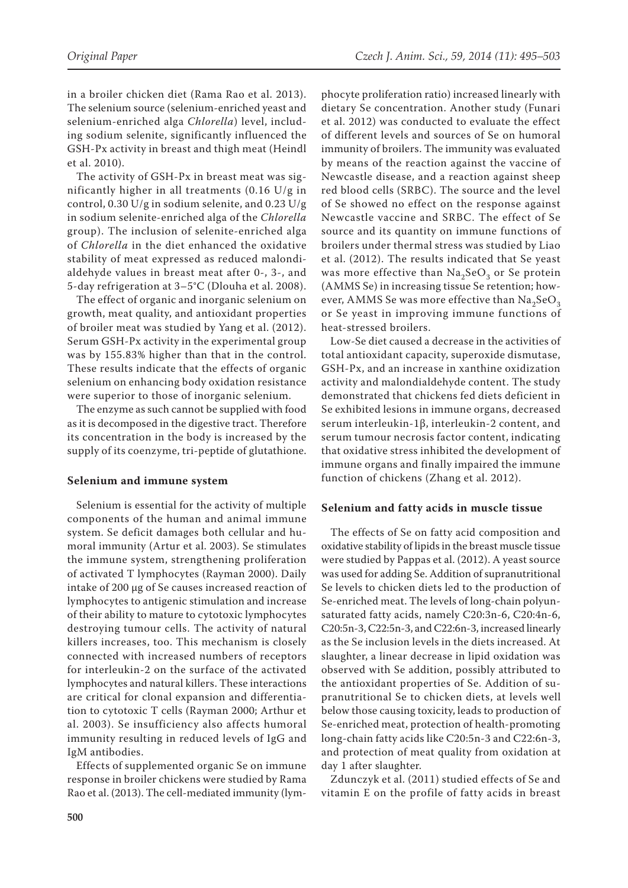in a broiler chicken diet (Rama Rao et al. 2013). The selenium source (selenium-enriched yeast and selenium-enriched alga *Chlorella*) level, including sodium selenite, significantly influenced the GSH-Px activity in breast and thigh meat (Heindl et al. 2010).

The activity of GSH-Px in breast meat was significantly higher in all treatments (0.16 U/g in control, 0.30 U/g in sodium selenite, and 0.23 U/g in sodium selenite-enriched alga of the *Chlorella* group). The inclusion of selenite-enriched alga of *Chlorella* in the diet enhanced the oxidative stability of meat expressed as reduced malondialdehyde values in breast meat after 0-, 3-, and 5-day refrigeration at 3–5°C (Dlouha et al. 2008).

The effect of organic and inorganic selenium on growth, meat quality, and antioxidant properties of broiler meat was studied by Yang et al. (2012). Serum GSH-Px activity in the experimental group was by 155.83% higher than that in the control. These results indicate that the effects of organic selenium on enhancing body oxidation resistance were superior to those of inorganic selenium.

The enzyme as such cannot be supplied with food as it is decomposed in the digestive tract. Therefore its concentration in the body is increased by the supply of its coenzyme, tri-peptide of glutathione.

## **Selenium and immune system**

Selenium is essential for the activity of multiple components of the human and animal immune system. Se deficit damages both cellular and humoral immunity (Artur et al. 2003). Se stimulates the immune system, strengthening proliferation of activated T lymphocytes (Rayman 2000). Daily intake of 200 µg of Se causes increased reaction of lymphocytes to antigenic stimulation and increase of their ability to mature to cytotoxic lymphocytes destroying tumour cells. The activity of natural killers increases, too. This mechanism is closely connected with increased numbers of receptors for interleukin-2 on the surface of the activated lymphocytes and natural killers. These interactions are critical for clonal expansion and differentiation to cytotoxic T cells (Rayman 2000; Arthur et al. 2003). Se insufficiency also affects humoral immunity resulting in reduced levels of IgG and IgM antibodies.

Effects of supplemented organic Se on immune response in broiler chickens were studied by Rama Rao et al. (2013). The cell-mediated immunity (lym-

phocyte proliferation ratio) increased linearly with dietary Se concentration. Another study (Funari et al. 2012) was conducted to evaluate the effect of different levels and sources of Se on humoral immunity of broilers. The immunity was evaluated by means of the reaction against the vaccine of Newcastle disease, and a reaction against sheep red blood cells (SRBC). The source and the level of Se showed no effect on the response against Newcastle vaccine and SRBC. The effect of Se source and its quantity on immune functions of broilers under thermal stress was studied by Liao et al. (2012). The results indicated that Se yeast was more effective than  $Na<sub>2</sub>SeO<sub>3</sub>$  or Se protein (AMMS Se) in increasing tissue Se retention; however, AMMS Se was more effective than  $\text{Na}_3\text{SeO}_3$ or Se yeast in improving immune functions of heat-stressed broilers.

Low-Se diet caused a decrease in the activities of total antioxidant capacity, superoxide dismutase, GSH-Px, and an increase in xanthine oxidization activity and malondialdehyde content. The study demonstrated that chickens fed diets deficient in Se exhibited lesions in immune organs, decreased serum interleukin-1β, interleukin-2 content, and serum tumour necrosis factor content, indicating that oxidative stress inhibited the development of immune organs and finally impaired the immune function of chickens (Zhang et al. 2012).

#### **Selenium and fatty acids in muscle tissue**

The effects of Se on fatty acid composition and oxidative stability of lipids in the breast muscle tissue were studied by Pappas et al. (2012). A yeast source was used for adding Se. Addition of supranutritional Se levels to chicken diets led to the production of Se-enriched meat. The levels of long-chain polyunsaturated fatty acids, namely C20:3n-6, C20:4n-6, C20:5n-3, C22:5n-3, and C22:6n-3, increased linearly as the Se inclusion levels in the diets increased. At slaughter, a linear decrease in lipid oxidation was observed with Se addition, possibly attributed to the antioxidant properties of Se. Addition of supranutritional Se to chicken diets, at levels well below those causing toxicity, leads to production of Se-enriched meat, protection of health-promoting long-chain fatty acids like C20:5n-3 and C22:6n-3, and protection of meat quality from oxidation at day 1 after slaughter.

Zdunczyk et al. (2011) studied effects of Se and vitamin E on the profile of fatty acids in breast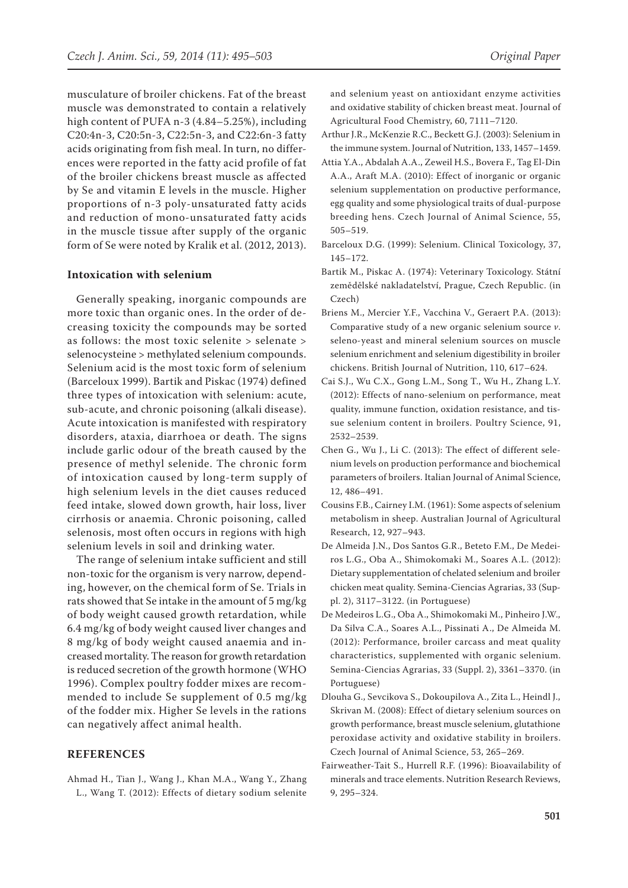musculature of broiler chickens. Fat of the breast muscle was demonstrated to contain a relatively high content of PUFA n-3 (4.84–5.25%), including C20:4n-3, C20:5n-3, C22:5n-3, and C22:6n-3 fatty acids originating from fish meal. In turn, no differences were reported in the fatty acid profile of fat of the broiler chickens breast muscle as affected by Se and vitamin E levels in the muscle. Higher proportions of n-3 poly-unsaturated fatty acids and reduction of mono-unsaturated fatty acids in the muscle tissue after supply of the organic form of Se were noted by Kralik et al. (2012, 2013).

### **Intoxication with selenium**

Generally speaking, inorganic compounds are more toxic than organic ones. In the order of decreasing toxicity the compounds may be sorted as follows: the most toxic selenite > selenate > selenocysteine > methylated selenium compounds. Selenium acid is the most toxic form of selenium (Barceloux 1999). Bartik and Piskac (1974) defined three types of intoxication with selenium: acute, sub-acute, and chronic poisoning (alkali disease). Acute intoxication is manifested with respiratory disorders, ataxia, diarrhoea or death. The signs include garlic odour of the breath caused by the presence of methyl selenide. The chronic form of intoxication caused by long-term supply of high selenium levels in the diet causes reduced feed intake, slowed down growth, hair loss, liver cirrhosis or anaemia. Chronic poisoning, called selenosis, most often occurs in regions with high selenium levels in soil and drinking water.

The range of selenium intake sufficient and still non-toxic for the organism is very narrow, depending, however, on the chemical form of Se. Trials in rats showed that Se intake in the amount of 5 mg/kg of body weight caused growth retardation, while 6.4 mg/kg of body weight caused liver changes and 8 mg/kg of body weight caused anaemia and increased mortality. The reason for growth retardation is reduced secretion of the growth hormone (WHO 1996). Complex poultry fodder mixes are recommended to include Se supplement of 0.5 mg/kg of the fodder mix. Higher Se levels in the rations can negatively affect animal health.

## **REFERENCES**

Ahmad H., Tian J., Wang J., Khan M.A., Wang Y., Zhang L., Wang T. (2012): Effects of dietary sodium selenite

and selenium yeast on antioxidant enzyme activities and oxidative stability of chicken breast meat. Journal of Agricultural Food Chemistry, 60, 7111–7120.

- Arthur J.R., McKenzie R.C., Beckett G.J. (2003): Selenium in the immune system. Journal of Nutrition, 133, 1457–1459.
- Attia Y.A., Abdalah A.A., Zeweil H.S., Bovera F., Tag El-Din A.A., Araft M.A. (2010): Effect of inorganic or organic selenium supplementation on productive performance, egg quality and some physiological traits of dual-purpose breeding hens. Czech Journal of Animal Science, 55, 505–519.
- Barceloux D.G. (1999): Selenium. Clinical Toxicology, 37, 145–172.
- Bartik M., Piskac A. (1974): Veterinary Toxicology. Státní zemědělské nakladatelství, Prague, Czech Republic. (in Czech)
- Briens M., Mercier Y.F., Vacchina V., Geraert P.A. (2013): Comparative study of a new organic selenium source *v*. seleno-yeast and mineral selenium sources on muscle selenium enrichment and selenium digestibility in broiler chickens. British Journal of Nutrition, 110, 617–624.
- Cai S.J., Wu C.X., Gong L.M., Song T., Wu H., Zhang L.Y. (2012): Effects of nano-selenium on performance, meat quality, immune function, oxidation resistance, and tissue selenium content in broilers. Poultry Science, 91, 2532–2539.
- Chen G., Wu J., Li C. (2013): The effect of different selenium levels on production performance and biochemical parameters of broilers. Italian Journal of Animal Science, 12, 486–491.
- Cousins F.B., Cairney I.M. (1961): Some aspects of selenium metabolism in sheep. Australian Journal of Agricultural Research, 12, 927–943.
- De Almeida J.N., Dos Santos G.R., Beteto F.M., De Medeiros L.G., Oba A., Shimokomaki M., Soares A.L. (2012): Dietary supplementation of chelated selenium and broiler chicken meat quality. Semina-Ciencias Agrarias, 33 (Suppl. 2), 3117–3122. (in Portuguese)
- De Medeiros L.G., Oba A., Shimokomaki M., Pinheiro J.W., Da Silva C.A., Soares A.L., Pissinati A., De Almeida M. (2012): Performance, broiler carcass and meat quality characteristics, supplemented with organic selenium. Semina-Ciencias Agrarias, 33 (Suppl. 2), 3361–3370. (in Portuguese)
- Dlouha G., Sevcikova S., Dokoupilova A., Zita L., Heindl J., Skrivan M. (2008): Effect of dietary selenium sources on growth performance, breast muscle selenium, glutathione peroxidase activity and oxidative stability in broilers. Czech Journal of Animal Science, 53, 265–269.
- Fairweather-Tait S., Hurrell R.F. (1996): Bioavailability of minerals and trace elements. Nutrition Research Reviews, 9, 295–324.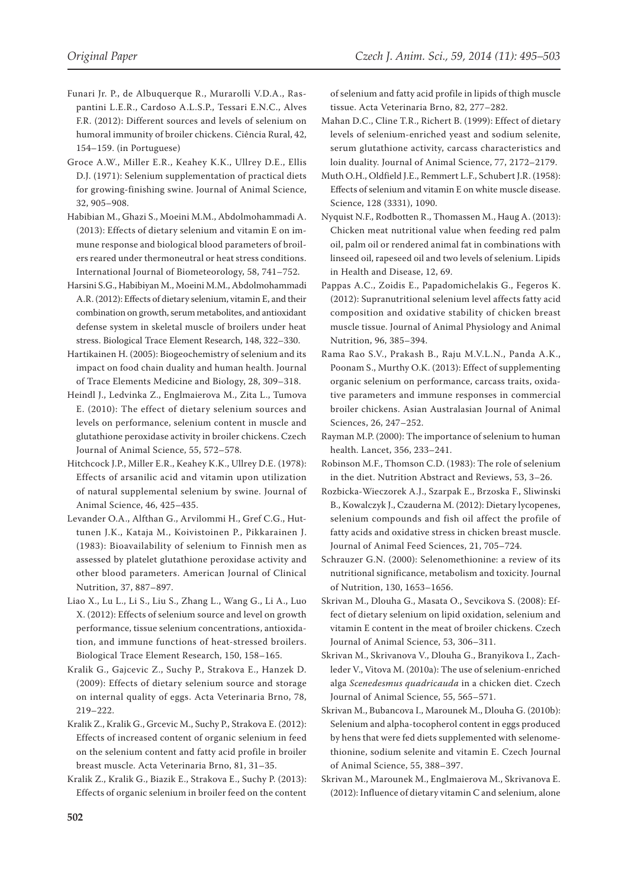- Funari Jr. P., de Albuquerque R., Murarolli V.D.A., Raspantini L.E.R., Cardoso A.L.S.P., Tessari E.N.C., Alves F.R. (2012): Different sources and levels of selenium on humoral immunity of broiler chickens. Ciência Rural, 42, 154–159. (in Portuguese)
- Groce A.W., Miller E.R., Keahey K.K., Ullrey D.E., Ellis D.J. (1971): Selenium supplementation of practical diets for growing-finishing swine. Journal of Animal Science, 32, 905–908.
- Habibian M., Ghazi S., Moeini M.M., Abdolmohammadi A. (2013): Effects of dietary selenium and vitamin E on immune response and biological blood parameters of broilers reared under thermoneutral or heat stress conditions. International Journal of Biometeorology, 58, 741–752.
- Harsini S.G., Habibiyan M., Moeini M.M., Abdolmohammadi A.R. (2012): Effects of dietary selenium, vitamin E, and their combination on growth, serum metabolites, and antioxidant defense system in skeletal muscle of broilers under heat stress. Biological Trace Element Research, 148, 322–330.
- Hartikainen H. (2005): Biogeochemistry of selenium and its impact on food chain duality and human health. Journal of Trace Elements Medicine and Biology, 28, 309–318.
- Heindl J., Ledvinka Z., Englmaierova M., Zita L., Tumova E. (2010): The effect of dietary selenium sources and levels on performance, selenium content in muscle and glutathione peroxidase activity in broiler chickens. Czech Journal of Animal Science, 55, 572–578.
- Hitchcock J.P., Miller E.R., Keahey K.K., Ullrey D.E. (1978): Effects of arsanilic acid and vitamin upon utilization of natural supplemental selenium by swine. Journal of Animal Science, 46, 425–435.
- Levander O.A., Alfthan G., Arvilommi H., Gref C.G., Huttunen J.K., Kataja M., Koivistoinen P., Pikkarainen J. (1983): Bioavailability of selenium to Finnish men as assessed by platelet glutathione peroxidase activity and other blood parameters. American Journal of Clinical Nutrition, 37, 887–897.
- Liao X., Lu L., Li S., Liu S., Zhang L., Wang G., Li A., Luo X. (2012): Effects of selenium source and level on growth performance, tissue selenium concentrations, antioxidation, and immune functions of heat-stressed broilers. Biological Trace Element Research, 150, 158–165.
- Kralik G., Gajcevic Z., Suchy P., Strakova E., Hanzek D. (2009): Effects of dietary selenium source and storage on internal quality of eggs. Acta Veterinaria Brno, 78, 219–222.
- Kralik Z., Kralik G., Grcevic M., Suchy P., Strakova E. (2012): Effects of increased content of organic selenium in feed on the selenium content and fatty acid profile in broiler breast muscle. Acta Veterinaria Brno, 81, 31–35.
- Kralik Z., Kralik G., Biazik E., Strakova E., Suchy P. (2013): Effects of organic selenium in broiler feed on the content

of selenium and fatty acid profile in lipids of thigh muscle tissue. Acta Veterinaria Brno, 82, 277–282.

- Mahan D.C., Cline T.R., Richert B. (1999): Effect of dietary levels of selenium-enriched yeast and sodium selenite, serum glutathione activity, carcass characteristics and loin duality. Journal of Animal Science, 77, 2172–2179.
- Muth O.H., Oldfield J.E., Remmert L.F., Schubert J.R. (1958): Effects of selenium and vitamin E on white muscle disease. Science, 128 (3331), 1090.
- Nyquist N.F., Rodbotten R., Thomassen M., Haug A. (2013): Chicken meat nutritional value when feeding red palm oil, palm oil or rendered animal fat in combinations with linseed oil, rapeseed oil and two levels of selenium. Lipids in Health and Disease, 12, 69.
- Pappas A.C., Zoidis E., Papadomichelakis G., Fegeros K. (2012): Supranutritional selenium level affects fatty acid composition and oxidative stability of chicken breast muscle tissue. Journal of Animal Physiology and Animal Nutrition, 96, 385–394.
- Rama Rao S.V., Prakash B., Raju M.V.L.N., Panda A.K., Poonam S., Murthy O.K. (2013): Effect of supplementing organic selenium on performance, carcass traits, oxidative parameters and immune responses in commercial broiler chickens. Asian Australasian Journal of Animal Sciences, 26, 247–252.
- Rayman M.P. (2000): The importance of selenium to human health. Lancet, 356, 233–241.
- Robinson M.F., Thomson C.D. (1983): The role of selenium in the diet. Nutrition Abstract and Reviews, 53, 3–26.
- Rozbicka-Wieczorek A.J., Szarpak E., Brzoska F., Sliwinski B., Kowalczyk J., Czauderna M. (2012): Dietary lycopenes, selenium compounds and fish oil affect the profile of fatty acids and oxidative stress in chicken breast muscle. Journal of Animal Feed Sciences, 21, 705–724.
- Schrauzer G.N. (2000): Selenomethionine: a review of its nutritional significance, metabolism and toxicity. Journal of Nutrition, 130, 1653–1656.
- Skrivan M., Dlouha G., Masata O., Sevcikova S. (2008): Effect of dietary selenium on lipid oxidation, selenium and vitamin E content in the meat of broiler chickens. Czech Journal of Animal Science, 53, 306–311.
- Skrivan M., Skrivanova V., Dlouha G., Branyikova I., Zachleder V., Vitova M. (2010a): The use of selenium-enriched alga *Scenedesmus quadricauda* in a chicken diet. Czech Journal of Animal Science, 55, 565–571.
- Skrivan M., Bubancova I., Marounek M., Dlouha G. (2010b): Selenium and alpha-tocopherol content in eggs produced by hens that were fed diets supplemented with selenomethionine, sodium selenite and vitamin E. Czech Journal of Animal Science, 55, 388–397.
- Skrivan M., Marounek M., Englmaierova M., Skrivanova E. (2012): Influence of dietary vitamin C and selenium, alone